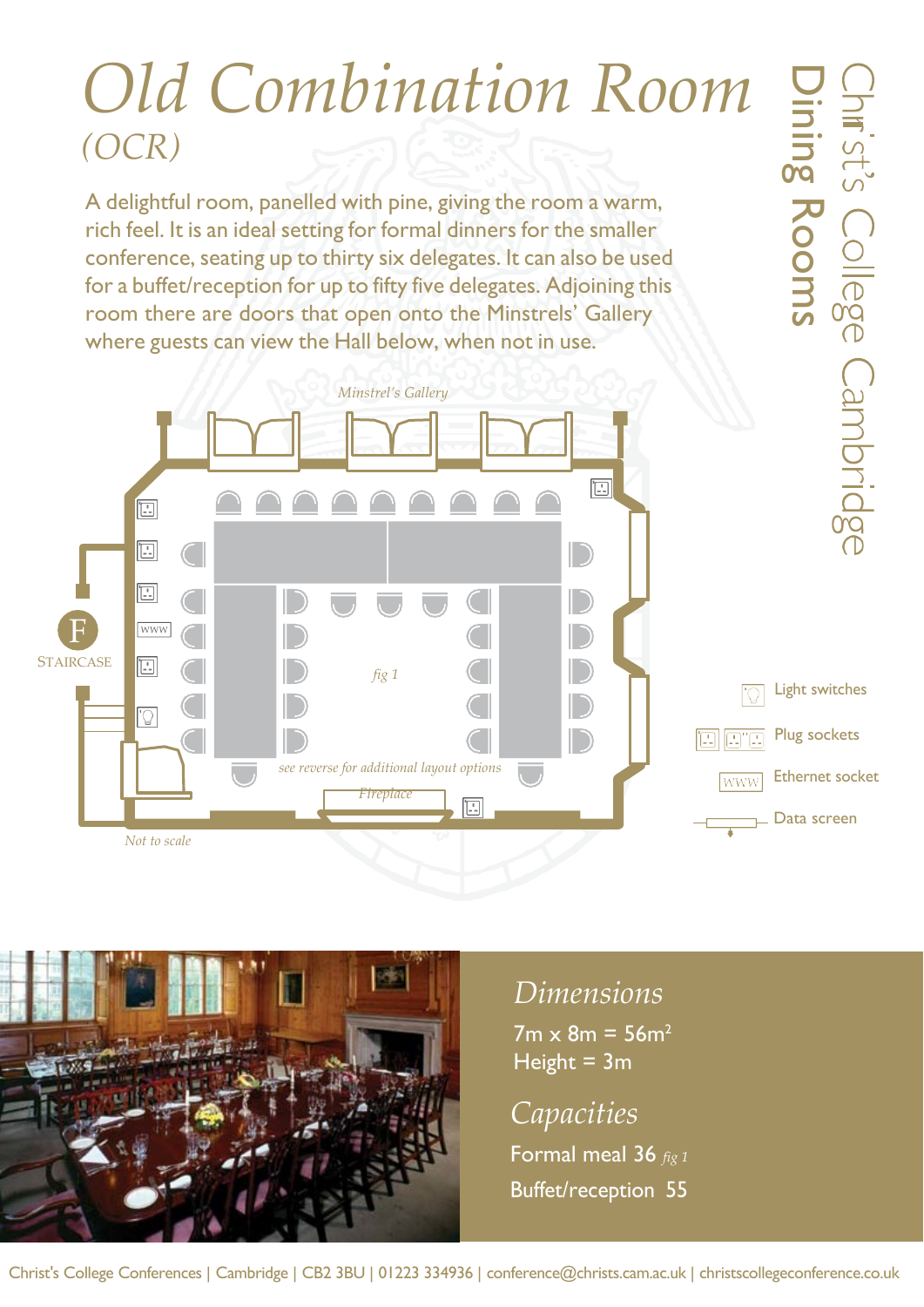## *Old Combination Room (OCR)*

Dining

Rooms

A delightful room, panelled with pine, giving the room a warm, rich feel. It is an ideal setting for formal dinners for the smaller conference, seating up to thirty six delegates. It can also be used for a buffet/reception for up to fifty five delegates. Adjoining this room there are doors that open onto the Minstrels' Gallery where guests can view the Hall below, when not in use.

*Minstrel's Gallery*  $\boxed{\Box}$  $\boxed{E}$  $\boxed{\phantom{a}\phantom{a}}$  $\Xi$ F **WWW STAIRCASE** E *fig 1* Light switches  $\mathbb{C}^{\cdot}$ Plug sockets e a a *see reverse for additional layout options* Ethernet socket **WWW** *Fireplace*  $\boxed{\phantom{1} }$ Data screen *Not to scale*



## *Dimensions*

 $7m \times 8m = 56m^2$ Height  $= 3m$ 

*Capacities* Formal meal 36 *fig 1* Buffet/reception 55